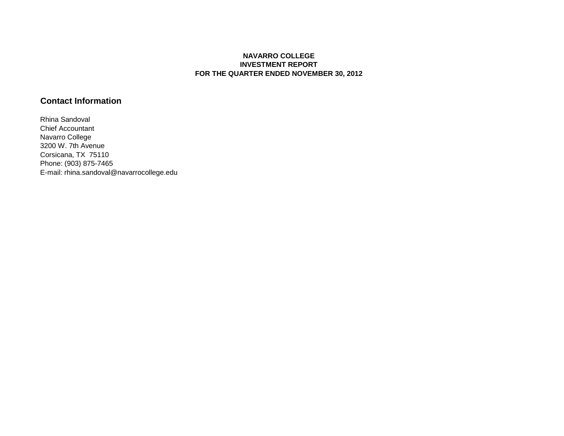## **NAVARRO COLLEGE INVESTMENT REPORT FOR THE QUARTER ENDED NOVEMBER 30, 2012**

## **Contact Information**

Rhina Sandoval Chief Accountant Navarro College 3200 W. 7th Avenue Corsicana, TX 75110 Phone: (903) 875-7465 E-mail: rhina.sandoval@navarrocollege.edu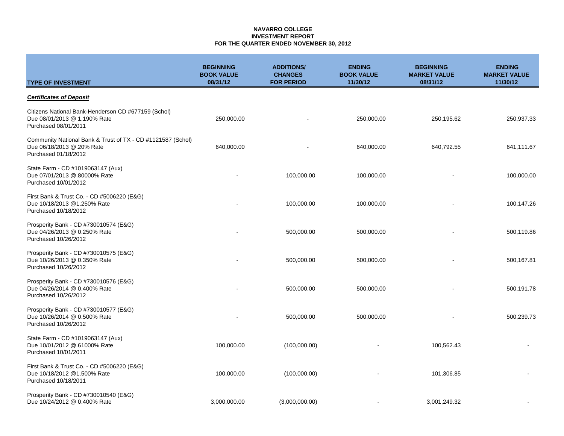#### **NAVARRO COLLEGE INVESTMENT REPORT FOR THE QUARTER ENDED NOVEMBER 30, 2012**

| <b>TYPE OF INVESTMENT</b>                                                                                        | <b>BEGINNING</b><br><b>BOOK VALUE</b><br>08/31/12 | <b>ADDITIONS/</b><br><b>CHANGES</b><br><b>FOR PERIOD</b> | <b>ENDING</b><br><b>BOOK VALUE</b><br>11/30/12 | <b>BEGINNING</b><br><b>MARKET VALUE</b><br>08/31/12 | <b>ENDING</b><br><b>MARKET VALUE</b><br>11/30/12 |
|------------------------------------------------------------------------------------------------------------------|---------------------------------------------------|----------------------------------------------------------|------------------------------------------------|-----------------------------------------------------|--------------------------------------------------|
| <b>Certificates of Deposit</b>                                                                                   |                                                   |                                                          |                                                |                                                     |                                                  |
| Citizens National Bank-Henderson CD #677159 (Schol)<br>Due 08/01/2013 @ 1.190% Rate<br>Purchased 08/01/2011      | 250,000.00                                        |                                                          | 250,000.00                                     | 250,195.62                                          | 250,937.33                                       |
| Community National Bank & Trust of TX - CD #1121587 (Schol)<br>Due 06/18/2013 @.20% Rate<br>Purchased 01/18/2012 | 640,000.00                                        |                                                          | 640,000.00                                     | 640,792.55                                          | 641,111.67                                       |
| State Farm - CD #1019063147 (Aux)<br>Due 07/01/2013 @.80000% Rate<br>Purchased 10/01/2012                        |                                                   | 100,000.00                                               | 100,000.00                                     |                                                     | 100,000.00                                       |
| First Bank & Trust Co. - CD #5006220 (E&G)<br>Due 10/18/2013 @1.250% Rate<br>Purchased 10/18/2012                |                                                   | 100,000.00                                               | 100,000.00                                     |                                                     | 100,147.26                                       |
| Prosperity Bank - CD #730010574 (E&G)<br>Due 04/26/2013 @ 0.250% Rate<br>Purchased 10/26/2012                    |                                                   | 500,000.00                                               | 500,000.00                                     |                                                     | 500,119.86                                       |
| Prosperity Bank - CD #730010575 (E&G)<br>Due 10/26/2013 @ 0.350% Rate<br>Purchased 10/26/2012                    |                                                   | 500,000.00                                               | 500,000.00                                     |                                                     | 500,167.81                                       |
| Prosperity Bank - CD #730010576 (E&G)<br>Due 04/26/2014 @ 0.400% Rate<br>Purchased 10/26/2012                    |                                                   | 500,000.00                                               | 500,000.00                                     |                                                     | 500,191.78                                       |
| Prosperity Bank - CD #730010577 (E&G)<br>Due 10/26/2014 @ 0.500% Rate<br>Purchased 10/26/2012                    |                                                   | 500,000.00                                               | 500,000.00                                     |                                                     | 500,239.73                                       |
| State Farm - CD #1019063147 (Aux)<br>Due 10/01/2012 @.61000% Rate<br>Purchased 10/01/2011                        | 100,000.00                                        | (100,000.00)                                             |                                                | 100,562.43                                          |                                                  |
| First Bank & Trust Co. - CD #5006220 (E&G)<br>Due 10/18/2012 @1.500% Rate<br>Purchased 10/18/2011                | 100,000.00                                        | (100,000.00)                                             |                                                | 101,306.85                                          |                                                  |
| Prosperity Bank - CD #730010540 (E&G)<br>Due 10/24/2012 @ 0.400% Rate                                            | 3,000,000.00                                      | (3,000,000.00)                                           |                                                | 3,001,249.32                                        |                                                  |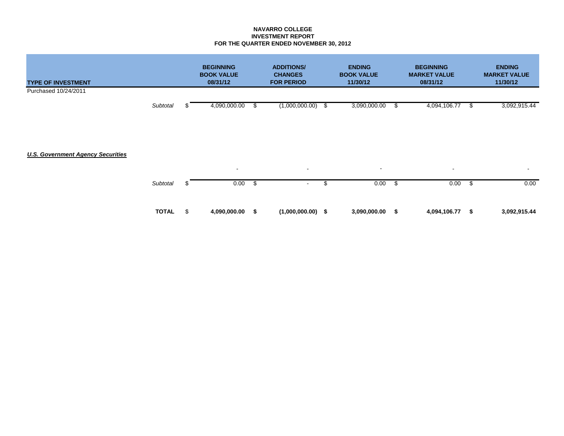### **NAVARRO COLLEGE INVESTMENT REPORT FOR THE QUARTER ENDED NOVEMBER 30, 2012**

| <b>TYPE OF INVESTMENT</b>                | <b>BEGINNING</b><br><b>BOOK VALUE</b><br>08/31/12 |    | <b>ADDITIONS/</b><br><b>CHANGES</b><br><b>FOR PERIOD</b> |    | <b>ENDING</b><br><b>BOOK VALUE</b><br>11/30/12 |      | <b>BEGINNING</b><br><b>MARKET VALUE</b><br>08/31/12 | <b>ENDING</b><br><b>MARKET VALUE</b><br>11/30/12 |
|------------------------------------------|---------------------------------------------------|----|----------------------------------------------------------|----|------------------------------------------------|------|-----------------------------------------------------|--------------------------------------------------|
| Purchased 10/24/2011                     |                                                   |    |                                                          |    |                                                |      |                                                     |                                                  |
| Subtotal                                 | 4,090,000.00                                      |    | (1,000,000.00)                                           | S. | 3,090,000.00                                   | S.   | 4,094,106.77                                        | \$<br>3,092,915.44                               |
|                                          |                                                   |    |                                                          |    |                                                |      |                                                     |                                                  |
|                                          |                                                   |    |                                                          |    |                                                |      |                                                     |                                                  |
| <b>U.S. Government Agency Securities</b> |                                                   |    |                                                          |    |                                                |      |                                                     |                                                  |
|                                          | $\sim$                                            |    | $\sim$                                                   |    | $\sim$                                         |      | $\blacksquare$                                      | $\sim$                                           |
| Subtotal<br>S                            | 0.00                                              | -S | $\sim 100$                                               | \$ | 0.00                                           | - \$ | 0.00                                                | \$<br>0.00                                       |
| <b>TOTAL</b><br>\$                       | 4,090,000.00                                      | S  | $(1,000,000.00)$ \$                                      |    | 3,090,000.00                                   | \$   | 4,094,106.77                                        | \$<br>3,092,915.44                               |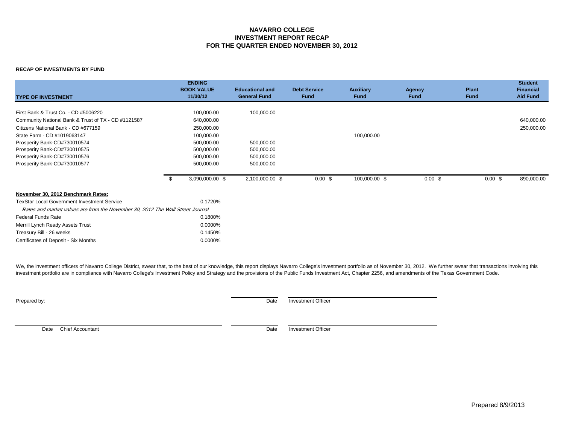### **NAVARRO COLLEGE INVESTMENT REPORT RECAP FOR THE QUARTER ENDED NOVEMBER 30, 2012**

#### **RECAP OF INVESTMENTS BY FUND**

| <b>TYPE OF INVESTMENT</b>                                                                                                                                                                                                                                                                         |      | <b>ENDING</b><br><b>BOOK VALUE</b><br>11/30/12                                                               | <b>Educational and</b><br><b>General Fund</b>                      | <b>Debt Service</b><br><b>Fund</b> | <b>Auxiliary</b><br><b>Fund</b> | <b>Agency</b><br><b>Fund</b> | <b>Plant</b><br><b>Fund</b> | <b>Student</b><br><b>Financial</b><br><b>Aid Fund</b> |
|---------------------------------------------------------------------------------------------------------------------------------------------------------------------------------------------------------------------------------------------------------------------------------------------------|------|--------------------------------------------------------------------------------------------------------------|--------------------------------------------------------------------|------------------------------------|---------------------------------|------------------------------|-----------------------------|-------------------------------------------------------|
| First Bank & Trust Co. - CD #5006220<br>Community National Bank & Trust of TX - CD #1121587<br>Citizens National Bank - CD #677159<br>State Farm - CD #1019063147<br>Prosperity Bank-CD#730010574<br>Prosperity Bank-CD#730010575<br>Prosperity Bank-CD#730010576<br>Prosperity Bank-CD#730010577 |      | 100,000.00<br>640,000.00<br>250,000.00<br>100,000.00<br>500,000.00<br>500,000.00<br>500,000.00<br>500,000.00 | 100,000.00<br>500,000.00<br>500,000.00<br>500,000.00<br>500,000.00 |                                    | 100,000.00                      |                              |                             | 640,000.00<br>250,000.00                              |
|                                                                                                                                                                                                                                                                                                   | - \$ | 3,090,000.00 \$                                                                                              | 2,100,000.00 \$                                                    | $0.00$ \$                          | 100,000.00 \$                   | 0.00~\$                      | 0.00~\$                     | 890,000.00                                            |
| November 30, 2012 Benchmark Rates:<br><b>TexStar Local Government Investment Service</b><br>Rates and market values are from the November 30, 2012 The Wall Street Journal<br><b>Federal Funds Rate</b><br>Merrill Lynch Ready Assets Trust                                                       |      | 0.1720%<br>0.1800%<br>0.0000%                                                                                |                                                                    |                                    |                                 |                              |                             |                                                       |
| Treasury Bill - 26 weeks<br>Certificates of Deposit - Six Months                                                                                                                                                                                                                                  |      | 0.1450%<br>0.0000%                                                                                           |                                                                    |                                    |                                 |                              |                             |                                                       |

We, the investment officers of Navarro College District, swear that, to the best of our knowledge, this report displays Navarro College's investment portfolio as of November 30, 2012. We further swear that transactions inv investment portfolio are in compliance with Navarro College's Investment Policy and Strategy and the provisions of the Public Funds Investment Act, Chapter 2256, and amendments of the Texas Government Code.

Prepared by: Date Investment Officer

Date Chief Accountant **Date** Investment Officer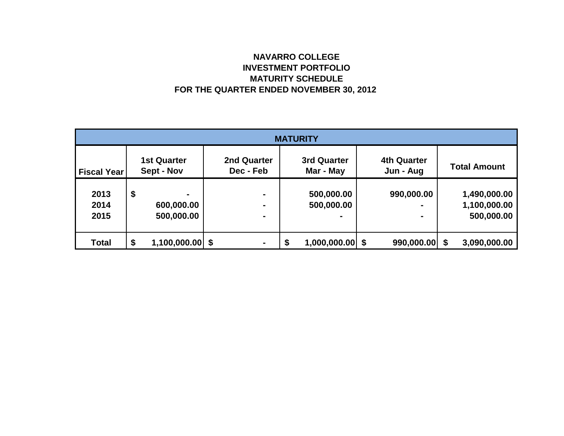# **NAVARRO COLLEGE INVESTMENT PORTFOLIO MATURITY SCHEDULE FOR THE QUARTER ENDED NOVEMBER 30, 2012**

| <b>MATURITY</b>    |    |                                  |                                 |    |                                 |  |                                 |  |                     |  |  |
|--------------------|----|----------------------------------|---------------------------------|----|---------------------------------|--|---------------------------------|--|---------------------|--|--|
| <b>Fiscal Year</b> |    | <b>1st Quarter</b><br>Sept - Nov | <b>2nd Quarter</b><br>Dec - Feb |    | <b>3rd Quarter</b><br>Mar - May |  | <b>4th Quarter</b><br>Jun - Aug |  | <b>Total Amount</b> |  |  |
|                    |    |                                  |                                 |    |                                 |  |                                 |  |                     |  |  |
| 2013               | \$ | ۰                                | $\blacksquare$                  |    | 500,000.00                      |  | 990,000.00                      |  | 1,490,000.00        |  |  |
| 2014               |    | 600,000.00                       | $\blacksquare$                  |    | 500,000.00                      |  | -                               |  | 1,100,000.00        |  |  |
| 2015               |    | 500,000.00                       | ۰                               |    |                                 |  | $\blacksquare$                  |  | 500,000.00          |  |  |
|                    |    |                                  |                                 |    |                                 |  |                                 |  |                     |  |  |
| <b>Total</b>       | \$ | $1,100,000.00$ \$                | $\blacksquare$                  | \$ | $1,000,000.00$ \$               |  | $990,000.00$ \$                 |  | 3,090,000.00        |  |  |